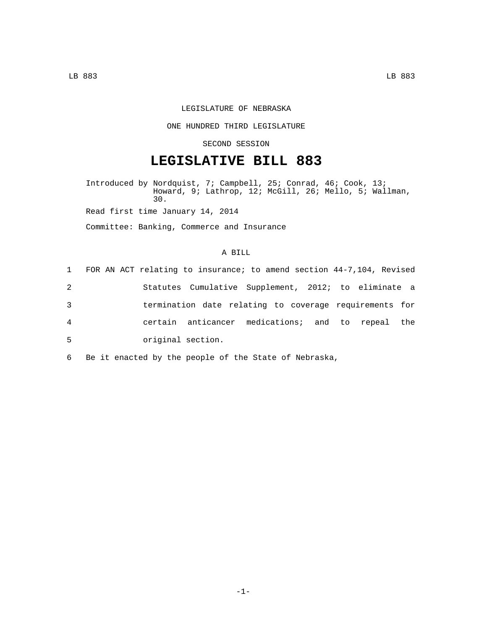## LEGISLATURE OF NEBRASKA

#### ONE HUNDRED THIRD LEGISLATURE

## SECOND SESSION

# **LEGISLATIVE BILL 883**

Introduced by Nordquist, 7; Campbell, 25; Conrad, 46; Cook, 13; Howard, 9; Lathrop, 12; McGill, 26; Mello, 5; Wallman, 30.

Read first time January 14, 2014

Committee: Banking, Commerce and Insurance

#### A BILL

|   |                   | 1 FOR AN ACT relating to insurance; to amend section 44-7,104, Revised |  |  |
|---|-------------------|------------------------------------------------------------------------|--|--|
| 2 |                   | Statutes Cumulative Supplement, 2012; to eliminate a                   |  |  |
| 3 |                   | termination date relating to coverage requirements for                 |  |  |
| 4 |                   | certain anticancer medications; and to repeal the                      |  |  |
| 5 | original section. |                                                                        |  |  |
|   |                   |                                                                        |  |  |

6 Be it enacted by the people of the State of Nebraska,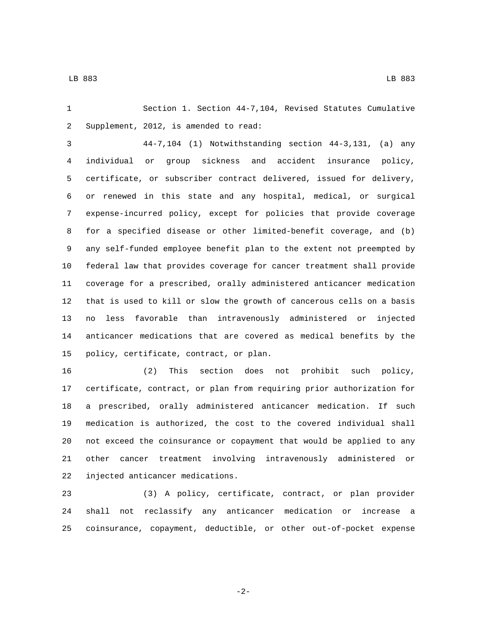Section 1. Section 44-7,104, Revised Statutes Cumulative 2 Supplement, 2012, is amended to read:

 44-7,104 (1) Notwithstanding section 44-3,131, (a) any individual or group sickness and accident insurance policy, certificate, or subscriber contract delivered, issued for delivery, or renewed in this state and any hospital, medical, or surgical expense-incurred policy, except for policies that provide coverage for a specified disease or other limited-benefit coverage, and (b) any self-funded employee benefit plan to the extent not preempted by federal law that provides coverage for cancer treatment shall provide coverage for a prescribed, orally administered anticancer medication that is used to kill or slow the growth of cancerous cells on a basis no less favorable than intravenously administered or injected anticancer medications that are covered as medical benefits by the 15 policy, certificate, contract, or plan.

 (2) This section does not prohibit such policy, certificate, contract, or plan from requiring prior authorization for a prescribed, orally administered anticancer medication. If such medication is authorized, the cost to the covered individual shall not exceed the coinsurance or copayment that would be applied to any other cancer treatment involving intravenously administered or 22 injected anticancer medications.

 (3) A policy, certificate, contract, or plan provider shall not reclassify any anticancer medication or increase a coinsurance, copayment, deductible, or other out-of-pocket expense

-2-